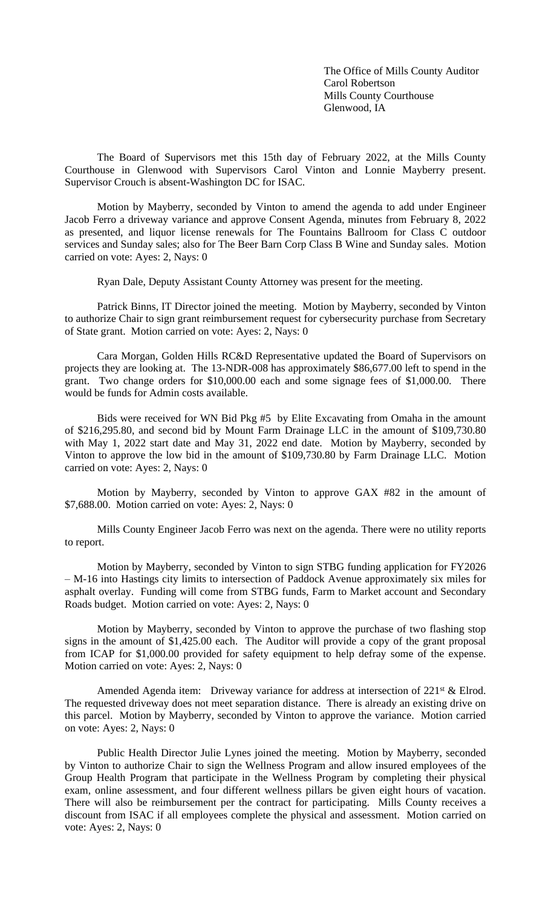The Office of Mills County Auditor Carol Robertson Mills County Courthouse Glenwood, IA

The Board of Supervisors met this 15th day of February 2022, at the Mills County Courthouse in Glenwood with Supervisors Carol Vinton and Lonnie Mayberry present. Supervisor Crouch is absent-Washington DC for ISAC.

Motion by Mayberry, seconded by Vinton to amend the agenda to add under Engineer Jacob Ferro a driveway variance and approve Consent Agenda, minutes from February 8, 2022 as presented, and liquor license renewals for The Fountains Ballroom for Class C outdoor services and Sunday sales; also for The Beer Barn Corp Class B Wine and Sunday sales. Motion carried on vote: Ayes: 2, Nays: 0

Ryan Dale, Deputy Assistant County Attorney was present for the meeting.

Patrick Binns, IT Director joined the meeting. Motion by Mayberry, seconded by Vinton to authorize Chair to sign grant reimbursement request for cybersecurity purchase from Secretary of State grant. Motion carried on vote: Ayes: 2, Nays: 0

Cara Morgan, Golden Hills RC&D Representative updated the Board of Supervisors on projects they are looking at. The 13-NDR-008 has approximately \$86,677.00 left to spend in the grant. Two change orders for \$10,000.00 each and some signage fees of \$1,000.00. There would be funds for Admin costs available.

Bids were received for WN Bid Pkg #5 by Elite Excavating from Omaha in the amount of \$216,295.80, and second bid by Mount Farm Drainage LLC in the amount of \$109,730.80 with May 1, 2022 start date and May 31, 2022 end date. Motion by Mayberry, seconded by Vinton to approve the low bid in the amount of \$109,730.80 by Farm Drainage LLC. Motion carried on vote: Ayes: 2, Nays: 0

Motion by Mayberry, seconded by Vinton to approve GAX #82 in the amount of \$7,688.00. Motion carried on vote: Ayes: 2, Nays: 0

Mills County Engineer Jacob Ferro was next on the agenda. There were no utility reports to report.

Motion by Mayberry, seconded by Vinton to sign STBG funding application for FY2026 – M-16 into Hastings city limits to intersection of Paddock Avenue approximately six miles for asphalt overlay. Funding will come from STBG funds, Farm to Market account and Secondary Roads budget. Motion carried on vote: Ayes: 2, Nays: 0

Motion by Mayberry, seconded by Vinton to approve the purchase of two flashing stop signs in the amount of \$1,425.00 each. The Auditor will provide a copy of the grant proposal from ICAP for \$1,000.00 provided for safety equipment to help defray some of the expense. Motion carried on vote: Ayes: 2, Nays: 0

Amended Agenda item: Driveway variance for address at intersection of 221<sup>st</sup> & Elrod. The requested driveway does not meet separation distance. There is already an existing drive on this parcel. Motion by Mayberry, seconded by Vinton to approve the variance. Motion carried on vote: Ayes: 2, Nays: 0

Public Health Director Julie Lynes joined the meeting. Motion by Mayberry, seconded by Vinton to authorize Chair to sign the Wellness Program and allow insured employees of the Group Health Program that participate in the Wellness Program by completing their physical exam, online assessment, and four different wellness pillars be given eight hours of vacation. There will also be reimbursement per the contract for participating. Mills County receives a discount from ISAC if all employees complete the physical and assessment. Motion carried on vote: Ayes: 2, Nays: 0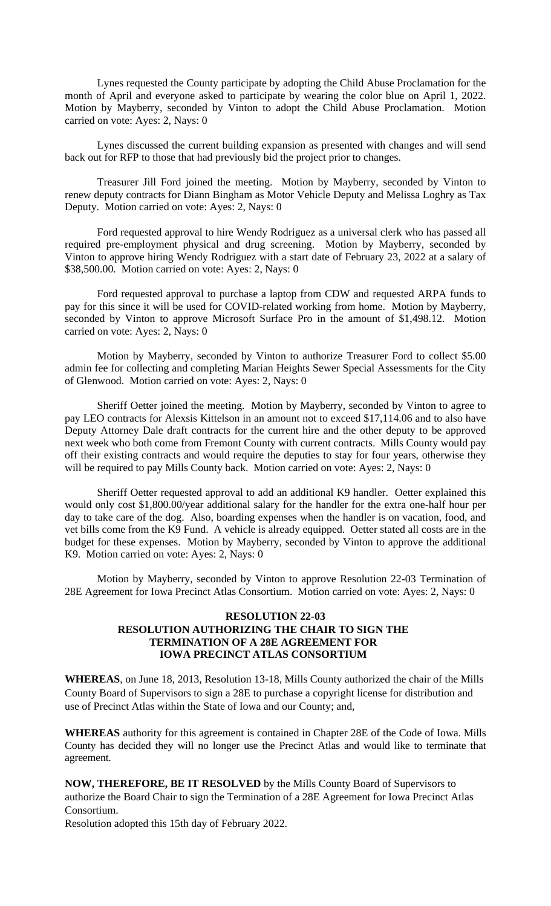Lynes requested the County participate by adopting the Child Abuse Proclamation for the month of April and everyone asked to participate by wearing the color blue on April 1, 2022. Motion by Mayberry, seconded by Vinton to adopt the Child Abuse Proclamation. Motion carried on vote: Ayes: 2, Nays: 0

Lynes discussed the current building expansion as presented with changes and will send back out for RFP to those that had previously bid the project prior to changes.

Treasurer Jill Ford joined the meeting. Motion by Mayberry, seconded by Vinton to renew deputy contracts for Diann Bingham as Motor Vehicle Deputy and Melissa Loghry as Tax Deputy. Motion carried on vote: Ayes: 2, Nays: 0

Ford requested approval to hire Wendy Rodriguez as a universal clerk who has passed all required pre-employment physical and drug screening. Motion by Mayberry, seconded by Vinton to approve hiring Wendy Rodriguez with a start date of February 23, 2022 at a salary of \$38,500.00. Motion carried on vote: Ayes: 2, Nays: 0

Ford requested approval to purchase a laptop from CDW and requested ARPA funds to pay for this since it will be used for COVID-related working from home. Motion by Mayberry, seconded by Vinton to approve Microsoft Surface Pro in the amount of \$1,498.12. Motion carried on vote: Ayes: 2, Nays: 0

Motion by Mayberry, seconded by Vinton to authorize Treasurer Ford to collect \$5.00 admin fee for collecting and completing Marian Heights Sewer Special Assessments for the City of Glenwood. Motion carried on vote: Ayes: 2, Nays: 0

Sheriff Oetter joined the meeting. Motion by Mayberry, seconded by Vinton to agree to pay LEO contracts for Alexsis Kittelson in an amount not to exceed \$17,114.06 and to also have Deputy Attorney Dale draft contracts for the current hire and the other deputy to be approved next week who both come from Fremont County with current contracts. Mills County would pay off their existing contracts and would require the deputies to stay for four years, otherwise they will be required to pay Mills County back. Motion carried on vote: Ayes: 2, Nays: 0

Sheriff Oetter requested approval to add an additional K9 handler. Oetter explained this would only cost \$1,800.00/year additional salary for the handler for the extra one-half hour per day to take care of the dog. Also, boarding expenses when the handler is on vacation, food, and vet bills come from the K9 Fund. A vehicle is already equipped. Oetter stated all costs are in the budget for these expenses. Motion by Mayberry, seconded by Vinton to approve the additional K9. Motion carried on vote: Ayes: 2, Nays: 0

Motion by Mayberry, seconded by Vinton to approve Resolution 22-03 Termination of 28E Agreement for Iowa Precinct Atlas Consortium. Motion carried on vote: Ayes: 2, Nays: 0

## **RESOLUTION 22-03 RESOLUTION AUTHORIZING THE CHAIR TO SIGN THE TERMINATION OF A 28E AGREEMENT FOR IOWA PRECINCT ATLAS CONSORTIUM**

**WHEREAS**, on June 18, 2013, Resolution 13-18, Mills County authorized the chair of the Mills County Board of Supervisors to sign a 28E to purchase a copyright license for distribution and use of Precinct Atlas within the State of Iowa and our County; and,

**WHEREAS** authority for this agreement is contained in Chapter 28E of the Code of Iowa. Mills County has decided they will no longer use the Precinct Atlas and would like to terminate that agreement.

**NOW, THEREFORE, BE IT RESOLVED** by the Mills County Board of Supervisors to authorize the Board Chair to sign the Termination of a 28E Agreement for Iowa Precinct Atlas Consortium.

Resolution adopted this 15th day of February 2022.